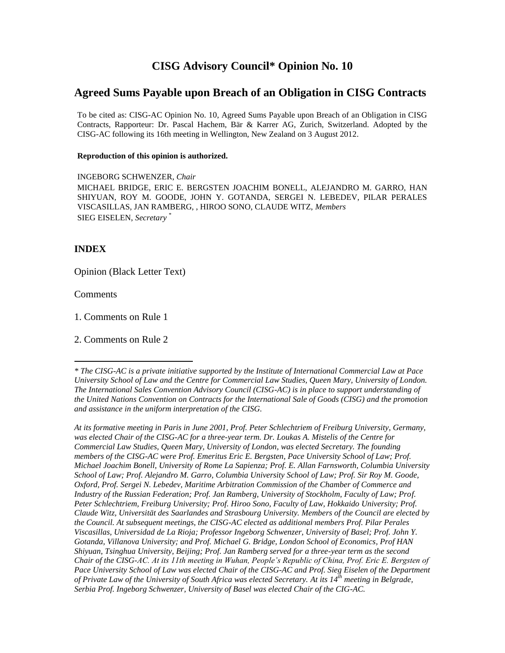# **CISG Advisory Council\* Opinion No. 10**

### **Agreed Sums Payable upon Breach of an Obligation in CISG Contracts**

To be cited as: CISG-AC Opinion No. 10, Agreed Sums Payable upon Breach of an Obligation in CISG Contracts, Rapporteur: Dr. Pascal Hachem, Bär & Karrer AG, Zurich, Switzerland. Adopted by the CISG-AC following its 16th meeting in Wellington, New Zealand on 3 August 2012.

#### **Reproduction of this opinion is authorized.**

INGEBORG SCHWENZER, *Chair* MICHAEL BRIDGE, ERIC E. BERGSTEN JOACHIM BONELL, ALEJANDRO M. GARRO, HAN SHIYUAN, ROY M. GOODE, JOHN Y. GOTANDA, SERGEI N. LEBEDEV, PILAR PERALES VISCASILLAS, JAN RAMBERG, , HIROO SONO, CLAUDE WITZ, *Members* SIEG EISELEN, *Secretary* \*

#### **INDEX**

Opinion (Black Letter Text)

#### Comments

 $\overline{a}$ 

- 1. Comments on Rule 1
- 2. Comments on Rule 2

*<sup>\*</sup> The CISG-AC is a private initiative supported by the Institute of International Commercial Law at Pace University School of Law and the Centre for Commercial Law Studies, Queen Mary, University of London. The International Sales Convention Advisory Council (CISG-AC) is in place to support understanding of the United Nations Convention on Contracts for the International Sale of Goods (CISG) and the promotion and assistance in the uniform interpretation of the CISG.*

*At its formative meeting in Paris in June 2001, Prof. Peter Schlechtriem of Freiburg University, Germany, was elected Chair of the CISG-AC for a three-year term. Dr. Loukas A. Mistelis of the Centre for Commercial Law Studies, Queen Mary, University of London, was elected Secretary. The founding members of the CISG-AC were Prof. Emeritus Eric E. Bergsten, Pace University School of Law; Prof. Michael Joachim Bonell, University of Rome La Sapienza; Prof. E. Allan Farnsworth, Columbia University School of Law; Prof. Alejandro M. Garro, Columbia University School of Law; Prof. Sir Roy M. Goode, Oxford, Prof. Sergei N. Lebedev, Maritime Arbitration Commission of the Chamber of Commerce and Industry of the Russian Federation; Prof. Jan Ramberg, University of Stockholm, Faculty of Law; Prof. Peter Schlechtriem, Freiburg University; Prof. Hiroo Sono, Faculty of Law, Hokkaido University; Prof. Claude Witz, Universität des Saarlandes and Strasbourg University. Members of the Council are elected by the Council. At subsequent meetings, the CISG-AC elected as additional members Prof. Pilar Perales Viscasillas, Universidad de La Rioja; Professor Ingeborg Schwenzer, University of Basel; Prof. John Y. Gotanda, Villanova University; and Prof. Michael G. Bridge, London School of Economics, Prof HAN Shiyuan, Tsinghua University, Beijing; Prof. Jan Ramberg served for a three-year term as the second Chair of the CISG-AC. At its 11th meeting in Wuhan, People's Republic of China, Prof. Eric E. Bergsten of*  Pace University School of Law was elected Chair of the CISG-AC and Prof. Sieg Eiselen of the Department *of Private Law of the University of South Africa was elected Secretary. At its 14th meeting in Belgrade, Serbia Prof. Ingeborg Schwenzer, University of Basel was elected Chair of the CIG-AC.*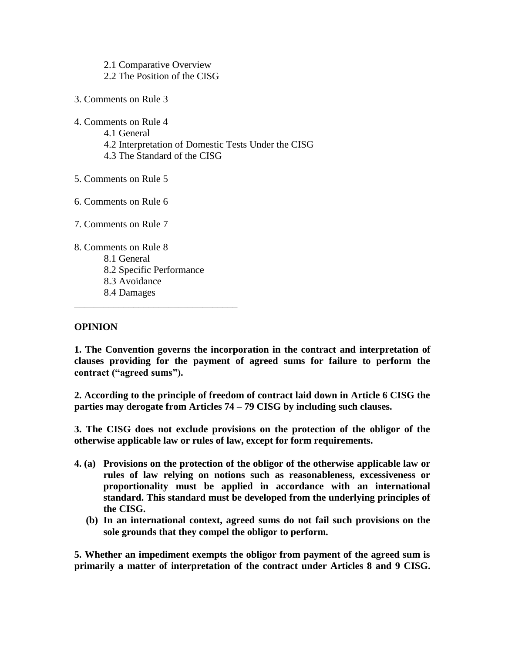2.1 Comparative Overview 2.2 The Position of the CISG

3. Comments on Rule 3

4. Comments on Rule 4

4.1 General

- 4.2 Interpretation of Domestic Tests Under the CISG
- 4.3 The Standard of the CISG

5. Comments on Rule 5

6. Comments on Rule 6

7. Comments on Rule 7

8. Comments on Rule 8 8.1 General 8.2 Specific Performance 8.3 Avoidance 8.4 Damages

\_\_\_\_\_\_\_\_\_\_\_\_\_\_\_\_\_\_\_\_\_\_\_\_\_\_\_\_\_\_\_\_\_

# **OPINION**

**1. The Convention governs the incorporation in the contract and interpretation of clauses providing for the payment of agreed sums for failure to perform the contract ("agreed sums").**

**2. According to the principle of freedom of contract laid down in Article 6 CISG the parties may derogate from Articles 74 – 79 CISG by including such clauses.**

**3. The CISG does not exclude provisions on the protection of the obligor of the otherwise applicable law or rules of law, except for form requirements.**

- **4. (a) Provisions on the protection of the obligor of the otherwise applicable law or rules of law relying on notions such as reasonableness, excessiveness or proportionality must be applied in accordance with an international standard. This standard must be developed from the underlying principles of the CISG.**
	- **(b) In an international context, agreed sums do not fail such provisions on the sole grounds that they compel the obligor to perform.**

**5. Whether an impediment exempts the obligor from payment of the agreed sum is primarily a matter of interpretation of the contract under Articles 8 and 9 CISG.**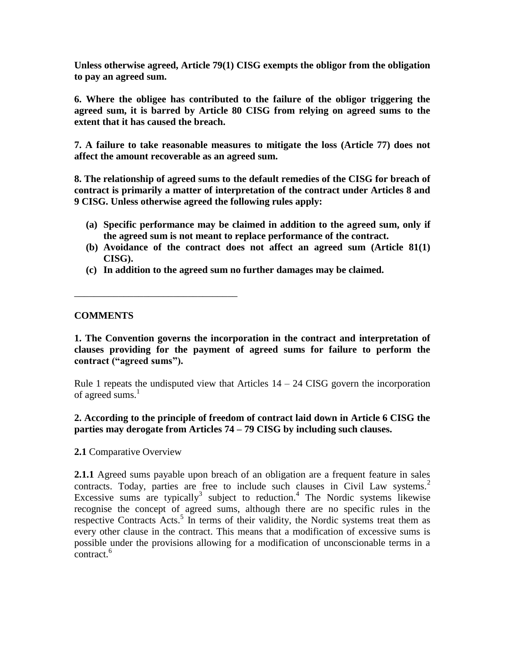**Unless otherwise agreed, Article 79(1) CISG exempts the obligor from the obligation to pay an agreed sum.**

**6. Where the obligee has contributed to the failure of the obligor triggering the agreed sum, it is barred by Article 80 CISG from relying on agreed sums to the extent that it has caused the breach.**

**7. A failure to take reasonable measures to mitigate the loss (Article 77) does not affect the amount recoverable as an agreed sum.**

**8. The relationship of agreed sums to the default remedies of the CISG for breach of contract is primarily a matter of interpretation of the contract under Articles 8 and 9 CISG. Unless otherwise agreed the following rules apply:**

- **(a) Specific performance may be claimed in addition to the agreed sum, only if the agreed sum is not meant to replace performance of the contract.**
- **(b) Avoidance of the contract does not affect an agreed sum (Article 81(1) CISG).**
- **(c) In addition to the agreed sum no further damages may be claimed.**

### **COMMENTS**

\_\_\_\_\_\_\_\_\_\_\_\_\_\_\_\_\_\_\_\_\_\_\_\_\_\_\_\_\_\_\_\_\_

**1. The Convention governs the incorporation in the contract and interpretation of clauses providing for the payment of agreed sums for failure to perform the contract ("agreed sums").**

Rule 1 repeats the undisputed view that Articles  $14 - 24$  CISG govern the incorporation of agreed sums.<sup>1</sup>

### **2. According to the principle of freedom of contract laid down in Article 6 CISG the parties may derogate from Articles 74 – 79 CISG by including such clauses.**

**2.1** Comparative Overview

**2.1.1** Agreed sums payable upon breach of an obligation are a frequent feature in sales contracts. Today, parties are free to include such clauses in Civil Law systems.<sup>2</sup> Excessive sums are typically<sup>3</sup> subject to reduction.<sup>4</sup> The Nordic systems likewise recognise the concept of agreed sums, although there are no specific rules in the respective Contracts Acts.<sup>5</sup> In terms of their validity, the Nordic systems treat them as every other clause in the contract. This means that a modification of excessive sums is possible under the provisions allowing for a modification of unconscionable terms in a contract.<sup>6</sup>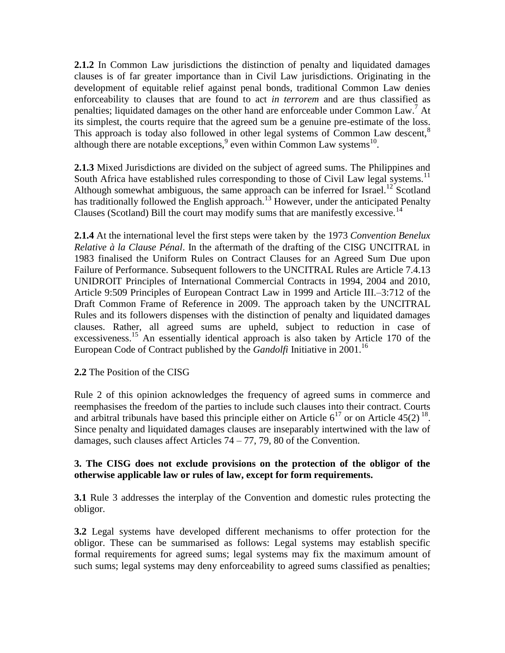**2.1.2** In Common Law jurisdictions the distinction of penalty and liquidated damages clauses is of far greater importance than in Civil Law jurisdictions. Originating in the development of equitable relief against penal bonds, traditional Common Law denies enforceability to clauses that are found to act *in terrorem* and are thus classified as penalties; liquidated damages on the other hand are enforceable under Common Law.<sup>7</sup> At its simplest, the courts require that the agreed sum be a genuine pre-estimate of the loss. This approach is today also followed in other legal systems of Common Law descent,<sup>8</sup> although there are notable exceptions,<sup>9</sup> even within Common Law systems<sup>10</sup>.

**2.1.3** Mixed Jurisdictions are divided on the subject of agreed sums. The Philippines and South Africa have established rules corresponding to those of Civil Law legal systems.<sup>11</sup> Although somewhat ambiguous, the same approach can be inferred for Israel.<sup>12</sup> Scotland has traditionally followed the English approach.<sup>13</sup> However, under the anticipated Penalty Clauses (Scotland) Bill the court may modify sums that are manifestly excessive.<sup>14</sup>

**2.1.4** At the international level the first steps were taken by the 1973 *Convention Benelux Relative à la Clause Pénal*. In the aftermath of the drafting of the CISG UNCITRAL in 1983 finalised the Uniform Rules on Contract Clauses for an Agreed Sum Due upon Failure of Performance. Subsequent followers to the UNCITRAL Rules are Article 7.4.13 UNIDROIT Principles of International Commercial Contracts in 1994, 2004 and 2010, Article 9:509 Principles of European Contract Law in 1999 and Article III.–3:712 of the Draft Common Frame of Reference in 2009. The approach taken by the UNCITRAL Rules and its followers dispenses with the distinction of penalty and liquidated damages clauses. Rather, all agreed sums are upheld, subject to reduction in case of excessiveness.<sup>15</sup> An essentially identical approach is also taken by Article 170 of the European Code of Contract published by the *Gandolfi* Initiative in 2001.<sup>16</sup>

### **2.2** The Position of the CISG

Rule 2 of this opinion acknowledges the frequency of agreed sums in commerce and reemphasises the freedom of the parties to include such clauses into their contract. Courts and arbitral tribunals have based this principle either on Article  $6^{17}$  or on Article 45(2)<sup>18</sup>. Since penalty and liquidated damages clauses are inseparably intertwined with the law of damages, such clauses affect Articles  $74 - 77$ ,  $79$ ,  $80$  of the Convention.

### **3. The CISG does not exclude provisions on the protection of the obligor of the otherwise applicable law or rules of law, except for form requirements.**

**3.1** Rule 3 addresses the interplay of the Convention and domestic rules protecting the obligor.

**3.2** Legal systems have developed different mechanisms to offer protection for the obligor. These can be summarised as follows: Legal systems may establish specific formal requirements for agreed sums; legal systems may fix the maximum amount of such sums; legal systems may deny enforceability to agreed sums classified as penalties;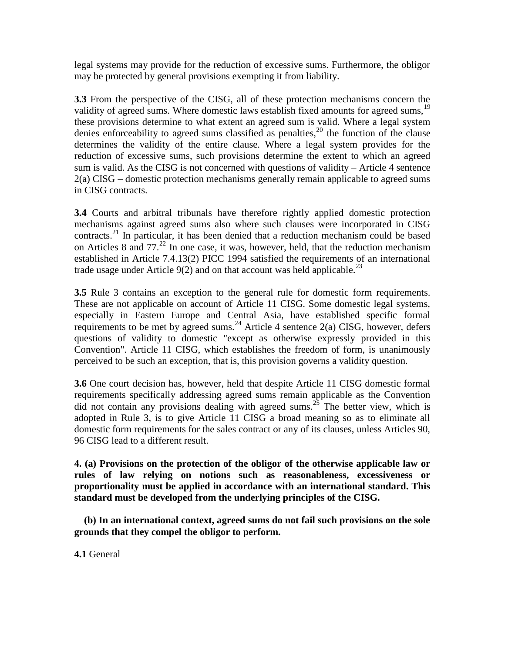legal systems may provide for the reduction of excessive sums. Furthermore, the obligor may be protected by general provisions exempting it from liability.

**3.3** From the perspective of the CISG, all of these protection mechanisms concern the validity of agreed sums. Where domestic laws establish fixed amounts for agreed sums, <sup>19</sup> these provisions determine to what extent an agreed sum is valid. Where a legal system denies enforceability to agreed sums classified as penalties,<sup>20</sup> the function of the clause determines the validity of the entire clause. Where a legal system provides for the reduction of excessive sums, such provisions determine the extent to which an agreed sum is valid. As the CISG is not concerned with questions of validity – Article 4 sentence 2(a) CISG – domestic protection mechanisms generally remain applicable to agreed sums in CISG contracts.

**3.4** Courts and arbitral tribunals have therefore rightly applied domestic protection mechanisms against agreed sums also where such clauses were incorporated in CISG contracts.<sup>21</sup> In particular, it has been denied that a reduction mechanism could be based on Articles 8 and  $77<sup>22</sup>$  In one case, it was, however, held, that the reduction mechanism established in Article 7.4.13(2) PICC 1994 satisfied the requirements of an international trade usage under Article 9(2) and on that account was held applicable.<sup>23</sup>

**3.5** Rule 3 contains an exception to the general rule for domestic form requirements. These are not applicable on account of Article 11 CISG. Some domestic legal systems, especially in Eastern Europe and Central Asia, have established specific formal requirements to be met by agreed sums.<sup>24</sup> Article 4 sentence 2(a) CISG, however, defers questions of validity to domestic "except as otherwise expressly provided in this Convention". Article 11 CISG, which establishes the freedom of form, is unanimously perceived to be such an exception, that is, this provision governs a validity question.

**3.6** One court decision has, however, held that despite Article 11 CISG domestic formal requirements specifically addressing agreed sums remain applicable as the Convention did not contain any provisions dealing with agreed sums.<sup>25</sup> The better view, which is adopted in Rule 3, is to give Article 11 CISG a broad meaning so as to eliminate all domestic form requirements for the sales contract or any of its clauses, unless Articles 90, 96 CISG lead to a different result.

**4. (a) Provisions on the protection of the obligor of the otherwise applicable law or rules of law relying on notions such as reasonableness, excessiveness or proportionality must be applied in accordance with an international standard. This standard must be developed from the underlying principles of the CISG.**

 **(b) In an international context, agreed sums do not fail such provisions on the sole grounds that they compel the obligor to perform.**

**4.1** General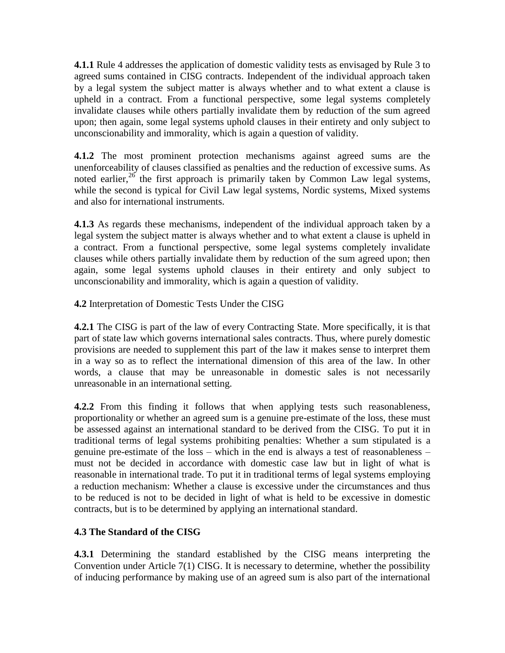**4.1.1** Rule 4 addresses the application of domestic validity tests as envisaged by Rule 3 to agreed sums contained in CISG contracts. Independent of the individual approach taken by a legal system the subject matter is always whether and to what extent a clause is upheld in a contract. From a functional perspective, some legal systems completely invalidate clauses while others partially invalidate them by reduction of the sum agreed upon; then again, some legal systems uphold clauses in their entirety and only subject to unconscionability and immorality, which is again a question of validity.

**4.1.2** The most prominent protection mechanisms against agreed sums are the unenforceability of clauses classified as penalties and the reduction of excessive sums. As noted earlier,<sup>26</sup> the first approach is primarily taken by Common Law legal systems, while the second is typical for Civil Law legal systems, Nordic systems, Mixed systems and also for international instruments.

**4.1.3** As regards these mechanisms, independent of the individual approach taken by a legal system the subject matter is always whether and to what extent a clause is upheld in a contract. From a functional perspective, some legal systems completely invalidate clauses while others partially invalidate them by reduction of the sum agreed upon; then again, some legal systems uphold clauses in their entirety and only subject to unconscionability and immorality, which is again a question of validity.

**4.2** Interpretation of Domestic Tests Under the CISG

**4.2.1** The CISG is part of the law of every Contracting State. More specifically, it is that part of state law which governs international sales contracts. Thus, where purely domestic provisions are needed to supplement this part of the law it makes sense to interpret them in a way so as to reflect the international dimension of this area of the law. In other words, a clause that may be unreasonable in domestic sales is not necessarily unreasonable in an international setting.

**4.2.2** From this finding it follows that when applying tests such reasonableness, proportionality or whether an agreed sum is a genuine pre-estimate of the loss, these must be assessed against an international standard to be derived from the CISG. To put it in traditional terms of legal systems prohibiting penalties: Whether a sum stipulated is a genuine pre-estimate of the loss – which in the end is always a test of reasonableness – must not be decided in accordance with domestic case law but in light of what is reasonable in international trade. To put it in traditional terms of legal systems employing a reduction mechanism: Whether a clause is excessive under the circumstances and thus to be reduced is not to be decided in light of what is held to be excessive in domestic contracts, but is to be determined by applying an international standard.

# **4.3 The Standard of the CISG**

**4.3.1** Determining the standard established by the CISG means interpreting the Convention under Article 7(1) CISG. It is necessary to determine, whether the possibility of inducing performance by making use of an agreed sum is also part of the international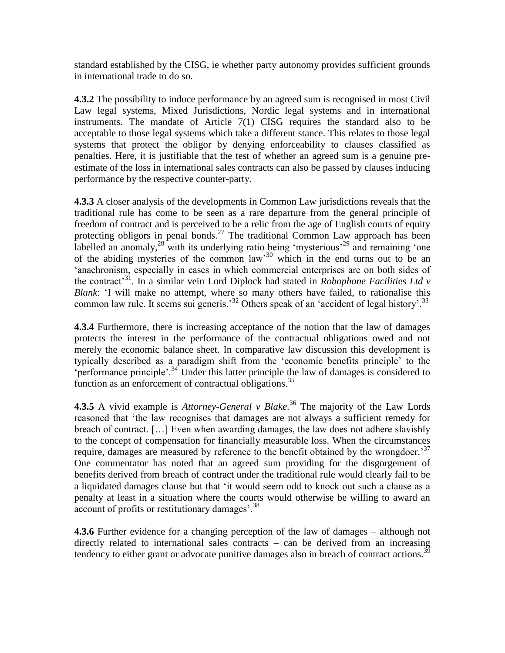standard established by the CISG, ie whether party autonomy provides sufficient grounds in international trade to do so.

**4.3.2** The possibility to induce performance by an agreed sum is recognised in most Civil Law legal systems, Mixed Jurisdictions, Nordic legal systems and in international instruments. The mandate of Article 7(1) CISG requires the standard also to be acceptable to those legal systems which take a different stance. This relates to those legal systems that protect the obligor by denying enforceability to clauses classified as penalties. Here, it is justifiable that the test of whether an agreed sum is a genuine preestimate of the loss in international sales contracts can also be passed by clauses inducing performance by the respective counter-party.

**4.3.3** A closer analysis of the developments in Common Law jurisdictions reveals that the traditional rule has come to be seen as a rare departure from the general principle of freedom of contract and is perceived to be a relic from the age of English courts of equity protecting obligors in penal bonds.<sup>27</sup> The traditional Common Law approach has been labelled an anomaly,  $28$  with its underlying ratio being 'mysterious'  $29$  and remaining 'one of the abiding mysteries of the common  $law<sup>30</sup>$  which in the end turns out to be an 'anachronism, especially in cases in which commercial enterprises are on both sides of the contract'<sup>31</sup> . In a similar vein Lord Diplock had stated in *Robophone Facilities Ltd v Blank*: 'I will make no attempt, where so many others have failed, to rationalise this common law rule. It seems sui generis.<sup>32</sup> Others speak of an 'accident of legal history'.<sup>33</sup>

**4.3.4** Furthermore, there is increasing acceptance of the notion that the law of damages protects the interest in the performance of the contractual obligations owed and not merely the economic balance sheet. In comparative law discussion this development is typically described as a paradigm shift from the 'economic benefits principle' to the 'performance principle'.<sup>34</sup> Under this latter principle the law of damages is considered to function as an enforcement of contractual obligations.<sup>35</sup>

**4.3.5** A vivid example is *Attorney-General v Blake*.<sup>36</sup> The majority of the Law Lords reasoned that 'the law recognises that damages are not always a sufficient remedy for breach of contract. […] Even when awarding damages, the law does not adhere slavishly to the concept of compensation for financially measurable loss. When the circumstances require, damages are measured by reference to the benefit obtained by the wrongdoer.<sup>37</sup> One commentator has noted that an agreed sum providing for the disgorgement of benefits derived from breach of contract under the traditional rule would clearly fail to be a liquidated damages clause but that 'it would seem odd to knock out such a clause as a penalty at least in a situation where the courts would otherwise be willing to award an account of profits or restitutionary damages'.<sup>38</sup>

**4.3.6** Further evidence for a changing perception of the law of damages – although not directly related to international sales contracts – can be derived from an increasing tendency to either grant or advocate punitive damages also in breach of contract actions.<sup>39</sup>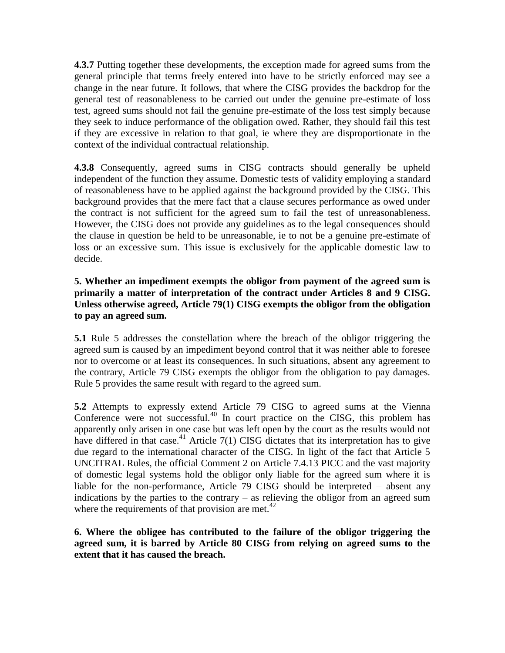**4.3.7** Putting together these developments, the exception made for agreed sums from the general principle that terms freely entered into have to be strictly enforced may see a change in the near future. It follows, that where the CISG provides the backdrop for the general test of reasonableness to be carried out under the genuine pre-estimate of loss test, agreed sums should not fail the genuine pre-estimate of the loss test simply because they seek to induce performance of the obligation owed. Rather, they should fail this test if they are excessive in relation to that goal, ie where they are disproportionate in the context of the individual contractual relationship.

**4.3.8** Consequently, agreed sums in CISG contracts should generally be upheld independent of the function they assume. Domestic tests of validity employing a standard of reasonableness have to be applied against the background provided by the CISG. This background provides that the mere fact that a clause secures performance as owed under the contract is not sufficient for the agreed sum to fail the test of unreasonableness. However, the CISG does not provide any guidelines as to the legal consequences should the clause in question be held to be unreasonable, ie to not be a genuine pre-estimate of loss or an excessive sum. This issue is exclusively for the applicable domestic law to decide.

**5. Whether an impediment exempts the obligor from payment of the agreed sum is primarily a matter of interpretation of the contract under Articles 8 and 9 CISG. Unless otherwise agreed, Article 79(1) CISG exempts the obligor from the obligation to pay an agreed sum.**

**5.1** Rule 5 addresses the constellation where the breach of the obligor triggering the agreed sum is caused by an impediment beyond control that it was neither able to foresee nor to overcome or at least its consequences. In such situations, absent any agreement to the contrary, Article 79 CISG exempts the obligor from the obligation to pay damages. Rule 5 provides the same result with regard to the agreed sum.

**5.2** Attempts to expressly extend Article 79 CISG to agreed sums at the Vienna Conference were not successful.<sup>40</sup> In court practice on the CISG, this problem has apparently only arisen in one case but was left open by the court as the results would not have differed in that case.<sup>41</sup> Article 7(1) CISG dictates that its interpretation has to give due regard to the international character of the CISG. In light of the fact that Article 5 UNCITRAL Rules, the official Comment 2 on Article 7.4.13 PICC and the vast majority of domestic legal systems hold the obligor only liable for the agreed sum where it is liable for the non-performance, Article 79 CISG should be interpreted – absent any indications by the parties to the contrary – as relieving the obligor from an agreed sum where the requirements of that provision are met. $^{42}$ 

**6. Where the obligee has contributed to the failure of the obligor triggering the agreed sum, it is barred by Article 80 CISG from relying on agreed sums to the extent that it has caused the breach.**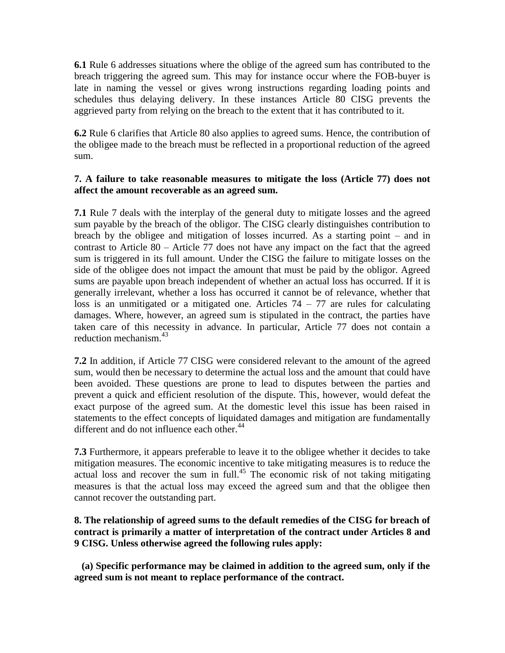**6.1** Rule 6 addresses situations where the oblige of the agreed sum has contributed to the breach triggering the agreed sum. This may for instance occur where the FOB-buyer is late in naming the vessel or gives wrong instructions regarding loading points and schedules thus delaying delivery. In these instances Article 80 CISG prevents the aggrieved party from relying on the breach to the extent that it has contributed to it.

**6.2** Rule 6 clarifies that Article 80 also applies to agreed sums. Hence, the contribution of the obligee made to the breach must be reflected in a proportional reduction of the agreed sum.

### **7. A failure to take reasonable measures to mitigate the loss (Article 77) does not affect the amount recoverable as an agreed sum.**

**7.1** Rule 7 deals with the interplay of the general duty to mitigate losses and the agreed sum payable by the breach of the obligor. The CISG clearly distinguishes contribution to breach by the obligee and mitigation of losses incurred. As a starting point – and in contrast to Article 80 – Article 77 does not have any impact on the fact that the agreed sum is triggered in its full amount. Under the CISG the failure to mitigate losses on the side of the obligee does not impact the amount that must be paid by the obligor. Agreed sums are payable upon breach independent of whether an actual loss has occurred. If it is generally irrelevant, whether a loss has occurred it cannot be of relevance, whether that loss is an unmitigated or a mitigated one. Articles  $74 - 77$  are rules for calculating damages. Where, however, an agreed sum is stipulated in the contract, the parties have taken care of this necessity in advance. In particular, Article 77 does not contain a reduction mechanism<sup>43</sup>

**7.2** In addition, if Article 77 CISG were considered relevant to the amount of the agreed sum, would then be necessary to determine the actual loss and the amount that could have been avoided. These questions are prone to lead to disputes between the parties and prevent a quick and efficient resolution of the dispute. This, however, would defeat the exact purpose of the agreed sum. At the domestic level this issue has been raised in statements to the effect concepts of liquidated damages and mitigation are fundamentally different and do not influence each other.<sup>44</sup>

**7.3** Furthermore, it appears preferable to leave it to the obligee whether it decides to take mitigation measures. The economic incentive to take mitigating measures is to reduce the actual loss and recover the sum in full.<sup>45</sup> The economic risk of not taking mitigating measures is that the actual loss may exceed the agreed sum and that the obligee then cannot recover the outstanding part.

# **8. The relationship of agreed sums to the default remedies of the CISG for breach of contract is primarily a matter of interpretation of the contract under Articles 8 and 9 CISG. Unless otherwise agreed the following rules apply:**

 **(a) Specific performance may be claimed in addition to the agreed sum, only if the agreed sum is not meant to replace performance of the contract.**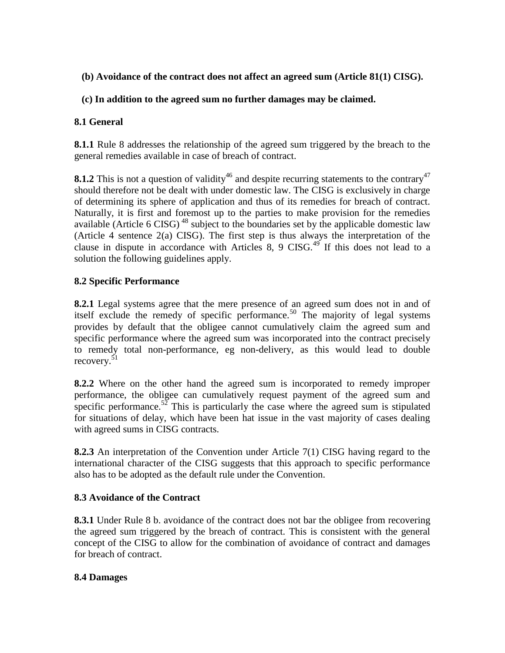# **(b) Avoidance of the contract does not affect an agreed sum (Article 81(1) CISG).**

# **(c) In addition to the agreed sum no further damages may be claimed.**

# **8.1 General**

**8.1.1** Rule 8 addresses the relationship of the agreed sum triggered by the breach to the general remedies available in case of breach of contract.

**8.1.2** This is not a question of validity<sup>46</sup> and despite recurring statements to the contrary<sup>47</sup> should therefore not be dealt with under domestic law. The CISG is exclusively in charge of determining its sphere of application and thus of its remedies for breach of contract. Naturally, it is first and foremost up to the parties to make provision for the remedies available (Article 6 CISG)<sup>48</sup> subject to the boundaries set by the applicable domestic law (Article 4 sentence 2(a) CISG). The first step is thus always the interpretation of the clause in dispute in accordance with Articles 8, 9 CISG.<sup>49</sup> If this does not lead to a solution the following guidelines apply.

# **8.2 Specific Performance**

**8.2.1** Legal systems agree that the mere presence of an agreed sum does not in and of itself exclude the remedy of specific performance.<sup>50</sup> The majority of legal systems provides by default that the obligee cannot cumulatively claim the agreed sum and specific performance where the agreed sum was incorporated into the contract precisely to remedy total non-performance, eg non-delivery, as this would lead to double recovery.<sup>51</sup>

**8.2.2** Where on the other hand the agreed sum is incorporated to remedy improper performance, the obligee can cumulatively request payment of the agreed sum and specific performance.<sup>52</sup> This is particularly the case where the agreed sum is stipulated for situations of delay, which have been hat issue in the vast majority of cases dealing with agreed sums in CISG contracts.

**8.2.3** An interpretation of the Convention under Article 7(1) CISG having regard to the international character of the CISG suggests that this approach to specific performance also has to be adopted as the default rule under the Convention.

# **8.3 Avoidance of the Contract**

**8.3.1** Under Rule 8 b. avoidance of the contract does not bar the obligee from recovering the agreed sum triggered by the breach of contract. This is consistent with the general concept of the CISG to allow for the combination of avoidance of contract and damages for breach of contract.

# **8.4 Damages**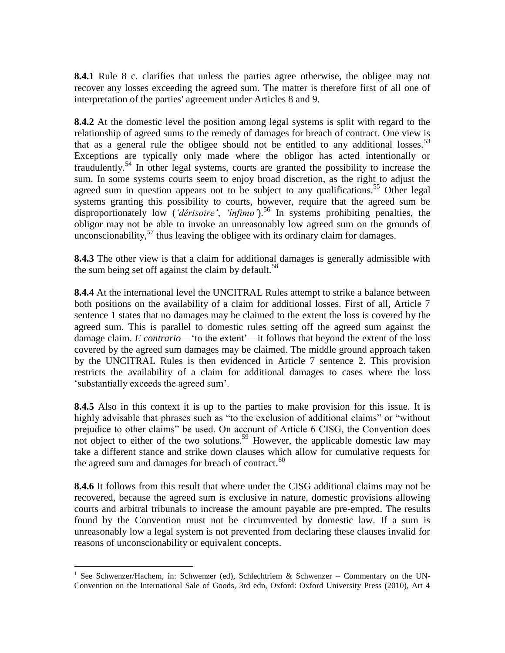**8.4.1** Rule 8 c. clarifies that unless the parties agree otherwise, the obligee may not recover any losses exceeding the agreed sum. The matter is therefore first of all one of interpretation of the parties' agreement under Articles 8 and 9.

**8.4.2** At the domestic level the position among legal systems is split with regard to the relationship of agreed sums to the remedy of damages for breach of contract. One view is that as a general rule the obligee should not be entitled to any additional losses.<sup>53</sup> Exceptions are typically only made where the obligor has acted intentionally or fraudulently.<sup>54</sup> In other legal systems, courts are granted the possibility to increase the sum. In some systems courts seem to enjoy broad discretion, as the right to adjust the agreed sum in question appears not to be subject to any qualifications.<sup>55</sup> Other legal systems granting this possibility to courts, however, require that the agreed sum be disproportionately low (*'dérisoire'*, *'ínfimo'*).<sup>56</sup> In systems prohibiting penalties, the obligor may not be able to invoke an unreasonably low agreed sum on the grounds of unconscionability,  $57$  thus leaving the obligee with its ordinary claim for damages.

**8.4.3** The other view is that a claim for additional damages is generally admissible with the sum being set off against the claim by default.<sup>58</sup>

**8.4.4** At the international level the UNCITRAL Rules attempt to strike a balance between both positions on the availability of a claim for additional losses. First of all, Article 7 sentence 1 states that no damages may be claimed to the extent the loss is covered by the agreed sum. This is parallel to domestic rules setting off the agreed sum against the damage claim. *E contrario* – 'to the extent' – it follows that beyond the extent of the loss covered by the agreed sum damages may be claimed. The middle ground approach taken by the UNCITRAL Rules is then evidenced in Article 7 sentence 2. This provision restricts the availability of a claim for additional damages to cases where the loss 'substantially exceeds the agreed sum'.

**8.4.5** Also in this context it is up to the parties to make provision for this issue. It is highly advisable that phrases such as "to the exclusion of additional claims" or "without prejudice to other claims" be used. On account of Article 6 CISG, the Convention does not object to either of the two solutions.<sup>59</sup> However, the applicable domestic law may take a different stance and strike down clauses which allow for cumulative requests for the agreed sum and damages for breach of contract. $60$ 

**8.4.6** It follows from this result that where under the CISG additional claims may not be recovered, because the agreed sum is exclusive in nature, domestic provisions allowing courts and arbitral tribunals to increase the amount payable are pre-empted. The results found by the Convention must not be circumvented by domestic law. If a sum is unreasonably low a legal system is not prevented from declaring these clauses invalid for reasons of unconscionability or equivalent concepts.

 $\overline{a}$ 

<sup>1</sup> See Schwenzer/Hachem, in: Schwenzer (ed), Schlechtriem & Schwenzer – Commentary on the UN-Convention on the International Sale of Goods, 3rd edn, Oxford: Oxford University Press (2010), Art 4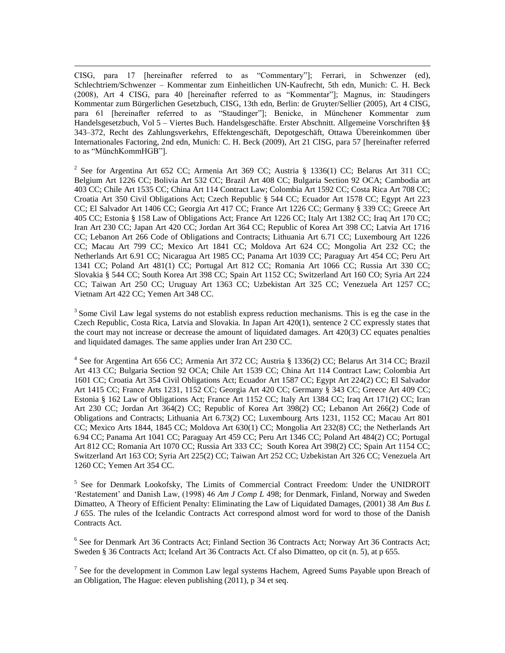$\overline{a}$ CISG, para 17 [hereinafter referred to as "Commentary"]; Ferrari, in Schwenzer (ed), Schlechtriem/Schwenzer – Kommentar zum Einheitlichen UN-Kaufrecht, 5th edn, Munich: C. H. Beck (2008), Art 4 CISG, para 40 [hereinafter referred to as "Kommentar"]; Magnus, in: Staudingers Kommentar zum Bürgerlichen Gesetzbuch, CISG, 13th edn, Berlin: de Gruyter/Sellier (2005), Art 4 CISG, para 61 [hereinafter referred to as "Staudinger"]; Benicke, in Münchener Kommentar zum Handelsgesetzbuch, Vol 5 – Viertes Buch. Handelsgeschäfte. Erster Abschnitt. Allgemeine Vorschriften §§ 343–372, Recht des Zahlungsverkehrs, Effektengeschäft, Depotgeschäft, Ottawa Übereinkommen über Internationales Factoring, 2nd edn, Munich: C. H. Beck (2009), Art 21 CISG, para 57 [hereinafter referred to as "MünchKommHGB"].

<sup>2</sup> See for Argentina Art 652 CC; Armenia Art 369 CC; Austria § 1336(1) CC; Belarus Art 311 CC; Belgium Art 1226 CC; Bolivia Art 532 CC; Brazil Art 408 CC; Bulgaria Section 92 OCA; Cambodia art 403 CC; Chile Art 1535 CC; China Art 114 Contract Law; Colombia Art 1592 CC; Costa Rica Art 708 CC; Croatia Art 350 Civil Obligations Act; Czech Republic § 544 CC; Ecuador Art 1578 CC; Egypt Art 223 CC; El Salvador Art 1406 CC; Georgia Art 417 CC; France Art 1226 CC; Germany § 339 CC; Greece Art 405 CC; Estonia § 158 Law of Obligations Act; France Art 1226 CC; Italy Art 1382 CC; Iraq Art 170 CC; Iran Art 230 CC; Japan Art 420 CC; Jordan Art 364 CC; Republic of Korea Art 398 CC; Latvia Art 1716 CC; Lebanon Art 266 Code of Obligations and Contracts; Lithuania Art 6.71 CC; Luxembourg Art 1226 CC; Macau Art 799 CC; Mexico Art 1841 CC; Moldova Art 624 CC; Mongolia Art 232 CC; the Netherlands Art 6.91 CC; Nicaragua Art 1985 CC; Panama Art 1039 CC; Paraguay Art 454 CC; Peru Art 1341 CC; Poland Art 481(1) CC; Portugal Art 812 CC; Romania Art 1066 CC; Russia Art 330 CC; Slovakia § 544 CC; South Korea Art 398 CC; Spain Art 1152 CC; Switzerland Art 160 CO; Syria Art 224 CC; Taiwan Art 250 CC; Uruguay Art 1363 CC; Uzbekistan Art 325 CC; Venezuela Art 1257 CC; Vietnam Art 422 CC; Yemen Art 348 CC.

 $3$  Some Civil Law legal systems do not establish express reduction mechanisms. This is eg the case in the Czech Republic, Costa Rica, Latvia and Slovakia. In Japan Art 420(1), sentence 2 CC expressly states that the court may not increase or decrease the amount of liquidated damages. Art 420(3) CC equates penalties and liquidated damages. The same applies under Iran Art 230 CC.

4 See for Argentina Art 656 CC; Armenia Art 372 CC; Austria § 1336(2) CC; Belarus Art 314 CC; Brazil Art 413 CC; Bulgaria Section 92 OCA; Chile Art 1539 CC; China Art 114 Contract Law; Colombia Art 1601 CC; Croatia Art 354 Civil Obligations Act; Ecuador Art 1587 CC; Egypt Art 224(2) CC; El Salvador Art 1415 CC; France Arts 1231, 1152 CC; Georgia Art 420 CC; Germany § 343 CC; Greece Art 409 CC; Estonia § 162 Law of Obligations Act; France Art 1152 CC; Italy Art 1384 CC; Iraq Art 171(2) CC; Iran Art 230 CC; Jordan Art 364(2) CC; Republic of Korea Art 398(2) CC; Lebanon Art 266(2) Code of Obligations and Contracts; Lithuania Art 6.73(2) CC; Luxembourg Arts 1231, 1152 CC; Macau Art 801 CC; Mexico Arts 1844, 1845 CC; Moldova Art 630(1) CC; Mongolia Art 232(8) CC; the Netherlands Art 6.94 CC; Panama Art 1041 CC; Paraguay Art 459 CC; Peru Art 1346 CC; Poland Art 484(2) CC; Portugal Art 812 CC; Romania Art 1070 CC; Russia Art 333 CC; South Korea Art 398(2) CC; Spain Art 1154 CC; Switzerland Art 163 CO; Syria Art 225(2) CC; Taiwan Art 252 CC; Uzbekistan Art 326 CC; Venezuela Art 1260 CC; Yemen Art 354 CC.

<sup>5</sup> See for Denmark Lookofsky, The Limits of Commercial Contract Freedom: Under the UNIDROIT 'Restatement' and Danish Law, (1998) 46 *Am J Comp L* 498; for Denmark, Finland, Norway and Sweden Dimatteo, A Theory of Efficient Penalty: Eliminating the Law of Liquidated Damages, (2001) 38 *Am Bus L J* 655. The rules of the Icelandic Contracts Act correspond almost word for word to those of the Danish Contracts Act.

<sup>6</sup> See for Denmark Art 36 Contracts Act; Finland Section 36 Contracts Act; Norway Art 36 Contracts Act; Sweden § 36 Contracts Act; Iceland Art 36 Contracts Act. Cf also Dimatteo, op cit (n. 5), at p 655.

<sup>7</sup> See for the development in Common Law legal systems Hachem, Agreed Sums Payable upon Breach of an Obligation, The Hague: eleven publishing (2011), p 34 et seq.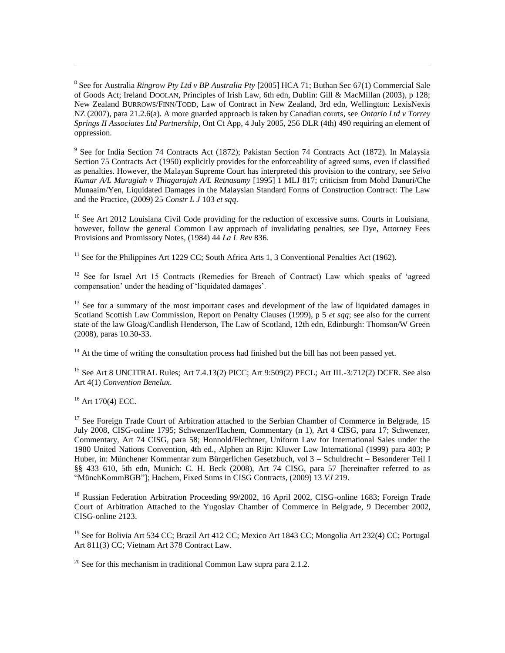8 See for Australia *Ringrow Pty Ltd v BP Australia Pty* [2005] HCA 71; Buthan Sec 67(1) Commercial Sale of Goods Act; Ireland DOOLAN, Principles of Irish Law, 6th edn, Dublin: Gill & MacMillan (2003), p 128; New Zealand BURROWS/FINN/TODD, Law of Contract in New Zealand, 3rd edn, Wellington: LexisNexis NZ (2007), para 21.2.6(a). A more guarded approach is taken by Canadian courts, see *Ontario Ltd v Torrey Springs II Associates Ltd Partnership*, Ont Ct App, 4 July 2005, 256 DLR (4th) 490 requiring an element of oppression.

<sup>9</sup> See for India Section 74 Contracts Act (1872); Pakistan Section 74 Contracts Act (1872). In Malaysia Section 75 Contracts Act (1950) explicitly provides for the enforceability of agreed sums, even if classified as penalties. However, the Malayan Supreme Court has interpreted this provision to the contrary, see *Selva Kumar A/L Murugiah v Thiagarajah A/L Retnasamy* [1995] 1 MLJ 817; criticism from Mohd Danuri/Che Munaaim/Yen, Liquidated Damages in the Malaysian Standard Forms of Construction Contract: The Law and the Practice, (2009) 25 *Constr L J* 103 *et sqq*.

 $10$  See Art 2012 Louisiana Civil Code providing for the reduction of excessive sums. Courts in Louisiana, however, follow the general Common Law approach of invalidating penalties, see Dye, Attorney Fees Provisions and Promissory Notes, (1984) 44 *La L Rev* 836.

 $11$  See for the Philippines Art 1229 CC; South Africa Arts 1, 3 Conventional Penalties Act (1962).

<sup>12</sup> See for Israel Art 15 Contracts (Remedies for Breach of Contract) Law which speaks of 'agreed compensation' under the heading of 'liquidated damages'.

<sup>13</sup> See for a summary of the most important cases and development of the law of liquidated damages in Scotland Scottish Law Commission, Report on Penalty Clauses (1999), p 5 *et sqq*; see also for the current state of the law Gloag/Candlish Henderson, The Law of Scotland, 12th edn, Edinburgh: Thomson/W Green (2008), paras 10.30-33.

 $14$  At the time of writing the consultation process had finished but the bill has not been passed yet.

<sup>15</sup> See Art 8 UNCITRAL Rules; Art 7.4.13(2) PICC; Art 9:509(2) PECL; Art III.-3:712(2) DCFR. See also Art 4(1) *Convention Benelux*.

 $16$  Art 170(4) ECC.

 $\overline{a}$ 

<sup>17</sup> See Foreign Trade Court of Arbitration attached to the Serbian Chamber of Commerce in Belgrade, 15 July 2008, CISG-online 1795; Schwenzer/Hachem, Commentary (n 1), Art 4 CISG, para 17; Schwenzer, Commentary, Art 74 CISG, para 58; Honnold/Flechtner, Uniform Law for International Sales under the 1980 United Nations Convention, 4th ed., Alphen an Rijn: Kluwer Law International (1999) para 403; P Huber, in: Münchener Kommentar zum Bürgerlichen Gesetzbuch, vol 3 – Schuldrecht – Besonderer Teil I §§ 433–610, 5th edn, Munich: C. H. Beck (2008), Art 74 CISG, para 57 [hereinafter referred to as "MünchKommBGB"]; Hachem, Fixed Sums in CISG Contracts, (2009) 13 *VJ* 219.

<sup>18</sup> Russian Federation Arbitration Proceeding 99/2002, 16 April 2002, CISG-online 1683; Foreign Trade Court of Arbitration Attached to the Yugoslav Chamber of Commerce in Belgrade, 9 December 2002, CISG-online 2123.

<sup>19</sup> See for Bolivia Art 534 CC; Brazil Art 412 CC; Mexico Art 1843 CC; Mongolia Art 232(4) CC; Portugal Art 811(3) CC; Vietnam Art 378 Contract Law.

<sup>20</sup> See for this mechanism in traditional Common Law supra para 2.1.2.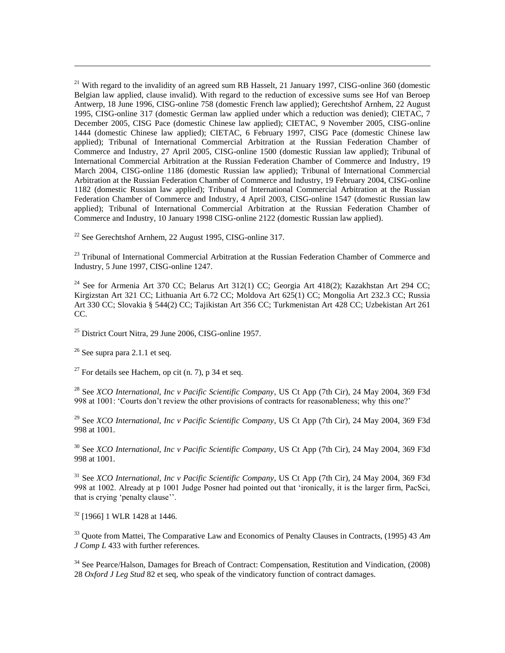<sup>21</sup> With regard to the invalidity of an agreed sum RB Hasselt, 21 January 1997, CISG-online 360 (domestic Belgian law applied, clause invalid). With regard to the reduction of excessive sums see Hof van Beroep Antwerp, 18 June 1996, CISG-online 758 (domestic French law applied); Gerechtshof Arnhem, 22 August 1995, CISG-online 317 (domestic German law applied under which a reduction was denied); CIETAC, 7 December 2005, CISG Pace (domestic Chinese law applied); CIETAC, 9 November 2005, CISG-online 1444 (domestic Chinese law applied); CIETAC, 6 February 1997, CISG Pace (domestic Chinese law applied); Tribunal of International Commercial Arbitration at the Russian Federation Chamber of Commerce and Industry, 27 April 2005, CISG-online 1500 (domestic Russian law applied); Tribunal of International Commercial Arbitration at the Russian Federation Chamber of Commerce and Industry, 19 March 2004, CISG-online 1186 (domestic Russian law applied); Tribunal of International Commercial Arbitration at the Russian Federation Chamber of Commerce and Industry, 19 February 2004, CISG-online 1182 (domestic Russian law applied); Tribunal of International Commercial Arbitration at the Russian Federation Chamber of Commerce and Industry, 4 April 2003, CISG-online 1547 (domestic Russian law applied); Tribunal of International Commercial Arbitration at the Russian Federation Chamber of Commerce and Industry, 10 January 1998 CISG-online 2122 (domestic Russian law applied).

 $^{22}$  See Gerechtshof Arnhem, 22 August 1995, CISG-online 317.

<sup>23</sup> Tribunal of International Commercial Arbitration at the Russian Federation Chamber of Commerce and Industry, 5 June 1997, CISG-online 1247.

<sup>24</sup> See for Armenia Art 370 CC; Belarus Art 312(1) CC; Georgia Art 418(2); Kazakhstan Art 294 CC; Kirgizstan Art 321 CC; Lithuania Art 6.72 CC; Moldova Art 625(1) CC; Mongolia Art 232.3 CC; Russia Art 330 CC; Slovakia § 544(2) CC; Tajikistan Art 356 CC; Turkmenistan Art 428 CC; Uzbekistan Art 261 CC.

<sup>25</sup> District Court Nitra, 29 June 2006, CISG-online 1957.

 $26$  See supra para 2.1.1 et seq.

 $\overline{a}$ 

 $27$  For details see Hachem, op cit (n. 7), p 34 et seq.

<sup>28</sup> See *XCO International, Inc v Pacific Scientific Company*, US Ct App (7th Cir), 24 May 2004, 369 F3d 998 at 1001: 'Courts don't review the other provisions of contracts for reasonableness; why this one?'

<sup>29</sup> See *XCO International, Inc v Pacific Scientific Company*, US Ct App (7th Cir), 24 May 2004, 369 F3d 998 at 1001.

<sup>30</sup> See *XCO International, Inc v Pacific Scientific Company*, US Ct App (7th Cir), 24 May 2004, 369 F3d 998 at 1001.

<sup>31</sup> See *XCO International, Inc v Pacific Scientific Company*, US Ct App (7th Cir), 24 May 2004, 369 F3d 998 at 1002. Already at p 1001 Judge Posner had pointed out that 'ironically, it is the larger firm, PacSci, that is crying 'penalty clause''.

<sup>32</sup> [1966] 1 WLR 1428 at 1446.

<sup>33</sup> Quote from Mattei, The Comparative Law and Economics of Penalty Clauses in Contracts, (1995) 43 *Am J Comp L* 433 with further references.

<sup>34</sup> See Pearce/Halson, Damages for Breach of Contract: Compensation, Restitution and Vindication, (2008) 28 *Oxford J Leg Stud* 82 et seq, who speak of the vindicatory function of contract damages.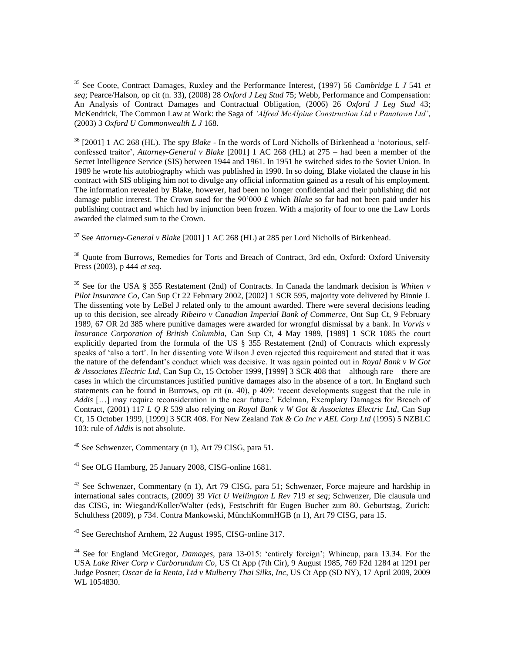<sup>35</sup> See Coote, Contract Damages, Ruxley and the Performance Interest, (1997) 56 *Cambridge L J* 541 *et seq*; Pearce/Halson, op cit (n. 33), (2008) 28 *Oxford J Leg Stud* 75; Webb, Performance and Compensation: An Analysis of Contract Damages and Contractual Obligation, (2006) 26 *Oxford J Leg Stud* 43; McKendrick, The Common Law at Work: the Saga of *'Alfred McAlpine Construction Ltd v Panatown Ltd'*, (2003) 3 *Oxford U Commonwealth L J* 168.

<sup>36</sup> [2001] 1 AC 268 (HL). The spy *Blake* - In the words of Lord Nicholls of Birkenhead a 'notorious, selfconfessed traitor', *Attorney-General v Blake* [2001] 1 AC 268 (HL) at 275 – had been a member of the Secret Intelligence Service (SIS) between 1944 and 1961. In 1951 he switched sides to the Soviet Union. In 1989 he wrote his autobiography which was published in 1990. In so doing, Blake violated the clause in his contract with SIS obliging him not to divulge any official information gained as a result of his employment. The information revealed by Blake, however, had been no longer confidential and their publishing did not damage public interest. The Crown sued for the 90'000 £ which *Blake* so far had not been paid under his publishing contract and which had by injunction been frozen. With a majority of four to one the Law Lords awarded the claimed sum to the Crown.

<sup>37</sup> See *Attorney-General v Blake* [2001] 1 AC 268 (HL) at 285 per Lord Nicholls of Birkenhead.

<sup>38</sup> Quote from Burrows, Remedies for Torts and Breach of Contract, 3rd edn, Oxford: Oxford University Press (2003), p 444 *et seq*.

<sup>39</sup> See for the USA § 355 Restatement (2nd) of Contracts. In Canada the landmark decision is *Whiten v Pilot Insurance Co,* Can Sup Ct 22 February 2002, [2002] 1 SCR 595, majority vote delivered by Binnie J. The dissenting vote by LeBel J related only to the amount awarded. There were several decisions leading up to this decision, see already *Ribeiro v Canadian Imperial Bank of Commerce*, Ont Sup Ct, 9 February 1989, 67 OR 2d 385 where punitive damages were awarded for wrongful dismissal by a bank. In *Vorvis v Insurance Corporation of British Columbia*, Can Sup Ct, 4 May 1989, [1989] 1 SCR 1085 the court explicitly departed from the formula of the US § 355 Restatement (2nd) of Contracts which expressly speaks of 'also a tort'. In her dissenting vote Wilson J even rejected this requirement and stated that it was the nature of the defendant's conduct which was decisive. It was again pointed out in *Royal Bank v W Got & Associates Electric Ltd*, Can Sup Ct, 15 October 1999, [1999] 3 SCR 408 that – although rare – there are cases in which the circumstances justified punitive damages also in the absence of a tort. In England such statements can be found in Burrows, op cit (n. 40), p 409: 'recent developments suggest that the rule in *Addis* […] may require reconsideration in the near future.' Edelman, Exemplary Damages for Breach of Contract, (2001) 117 *L Q R* 539 also relying on *Royal Bank v W Got & Associates Electric Ltd*, Can Sup Ct, 15 October 1999, [1999] 3 SCR 408. For New Zealand *Tak & Co Inc v AEL Corp Ltd* (1995) 5 NZBLC 103: rule of *Addis* is not absolute.

 $40$  See Schwenzer, Commentary (n 1), Art 79 CISG, para 51.

 $\overline{a}$ 

<sup>41</sup> See OLG Hamburg, 25 January 2008, CISG-online 1681.

 $42$  See Schwenzer, Commentary (n 1), Art 79 CISG, para 51; Schwenzer, Force majeure and hardship in international sales contracts, (2009) 39 *Vict U Wellington L Rev* 719 *et seq*; Schwenzer, Die clausula und das CISG, in: Wiegand/Koller/Walter (eds), Festschrift für Eugen Bucher zum 80. Geburtstag, Zurich: Schulthess (2009), p 734. Contra Mankowski, MünchKommHGB (n 1), Art 79 CISG, para 15.

<sup>43</sup> See Gerechtshof Arnhem, 22 August 1995, CISG-online 317.

<sup>44</sup> See for England McGregor, *Damages*, para 13-015: 'entirely foreign'; Whincup, para 13.34. For the USA *Lake River Corp v Carborundum Co*, US Ct App (7th Cir), 9 August 1985, 769 F2d 1284 at 1291 per Judge Posner; *Oscar de la Renta, Ltd v Mulberry Thai Silks, Inc*, US Ct App (SD NY), 17 April 2009, 2009 WL 1054830.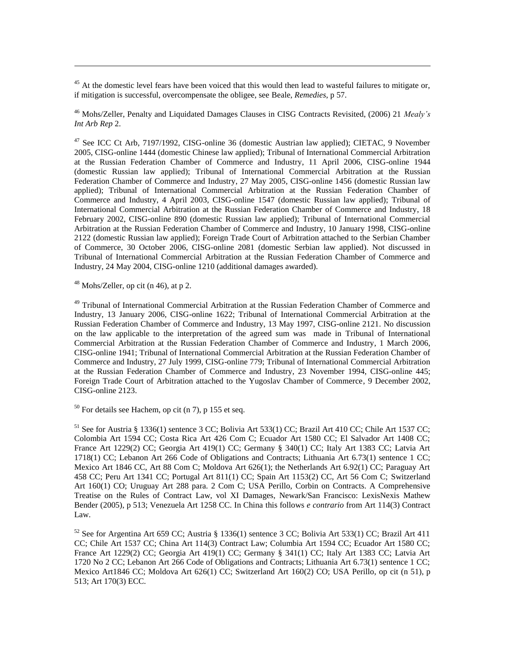$45$  At the domestic level fears have been voiced that this would then lead to wasteful failures to mitigate or, if mitigation is successful, overcompensate the obligee, see Beale, *Remedies*, p 57.

<sup>46</sup> Mohs/Zeller, Penalty and Liquidated Damages Clauses in CISG Contracts Revisited, (2006) 21 *Mealy's Int Arb Rep* 2.

<sup>47</sup> See ICC Ct Arb, 7197/1992, CISG-online 36 (domestic Austrian law applied); CIETAC, 9 November 2005, CISG-online 1444 (domestic Chinese law applied); Tribunal of International Commercial Arbitration at the Russian Federation Chamber of Commerce and Industry, 11 April 2006, CISG-online 1944 (domestic Russian law applied); Tribunal of International Commercial Arbitration at the Russian Federation Chamber of Commerce and Industry, 27 May 2005, CISG-online 1456 (domestic Russian law applied); Tribunal of International Commercial Arbitration at the Russian Federation Chamber of Commerce and Industry, 4 April 2003, CISG-online 1547 (domestic Russian law applied); Tribunal of International Commercial Arbitration at the Russian Federation Chamber of Commerce and Industry, 18 February 2002, CISG-online 890 (domestic Russian law applied); Tribunal of International Commercial Arbitration at the Russian Federation Chamber of Commerce and Industry, 10 January 1998, CISG-online 2122 (domestic Russian law applied); Foreign Trade Court of Arbitration attached to the Serbian Chamber of Commerce, 30 October 2006, CISG-online 2081 (domestic Serbian law applied). Not discussed in Tribunal of International Commercial Arbitration at the Russian Federation Chamber of Commerce and Industry, 24 May 2004, CISG-online 1210 (additional damages awarded).

 $48$  Mohs/Zeller, op cit (n 46), at p 2.

 $\overline{a}$ 

<sup>49</sup> Tribunal of International Commercial Arbitration at the Russian Federation Chamber of Commerce and Industry, 13 January 2006, CISG-online 1622; Tribunal of International Commercial Arbitration at the Russian Federation Chamber of Commerce and Industry, 13 May 1997, CISG-online 2121. No discussion on the law applicable to the interpretation of the agreed sum was made in Tribunal of International Commercial Arbitration at the Russian Federation Chamber of Commerce and Industry, 1 March 2006, CISG-online 1941; Tribunal of International Commercial Arbitration at the Russian Federation Chamber of Commerce and Industry, 27 July 1999, CISG-online 779; Tribunal of International Commercial Arbitration at the Russian Federation Chamber of Commerce and Industry, 23 November 1994, CISG-online 445; Foreign Trade Court of Arbitration attached to the Yugoslav Chamber of Commerce, 9 December 2002, CISG-online 2123.

 $50$  For details see Hachem, op cit (n 7), p 155 et seq.

<sup>51</sup> See for Austria § 1336(1) sentence 3 CC; Bolivia Art 533(1) CC; Brazil Art 410 CC; Chile Art 1537 CC; Colombia Art 1594 CC; Costa Rica Art 426 Com C; Ecuador Art 1580 CC; El Salvador Art 1408 CC; France Art 1229(2) CC; Georgia Art 419(1) CC; Germany § 340(1) CC; Italy Art 1383 CC; Latvia Art 1718(1) CC; Lebanon Art 266 Code of Obligations and Contracts; Lithuania Art 6.73(1) sentence 1 CC; Mexico Art 1846 CC, Art 88 Com C; Moldova Art 626(1); the Netherlands Art 6.92(1) CC; Paraguay Art 458 CC; Peru Art 1341 CC; Portugal Art 811(1) CC; Spain Art 1153(2) CC, Art 56 Com C; Switzerland Art 160(1) CO; Uruguay Art 288 para. 2 Com C; USA Perillo, Corbin on Contracts. A Comprehensive Treatise on the Rules of Contract Law, vol XI Damages, Newark/San Francisco: LexisNexis Mathew Bender (2005), p 513; Venezuela Art 1258 CC. In China this follows *e contrario* from Art 114(3) Contract Law.

 $52$  See for Argentina Art 659 CC; Austria § 1336(1) sentence 3 CC; Bolivia Art 533(1) CC; Brazil Art 411 CC; Chile Art 1537 CC; China Art 114(3) Contract Law; Columbia Art 1594 CC; Ecuador Art 1580 CC; France Art 1229(2) CC; Georgia Art 419(1) CC; Germany § 341(1) CC; Italy Art 1383 CC; Latvia Art 1720 No 2 CC; Lebanon Art 266 Code of Obligations and Contracts; Lithuania Art 6.73(1) sentence 1 CC; Mexico Art1846 CC; Moldova Art 626(1) CC; Switzerland Art 160(2) CO; USA Perillo, op cit (n 51), p 513; Art 170(3) ECC.